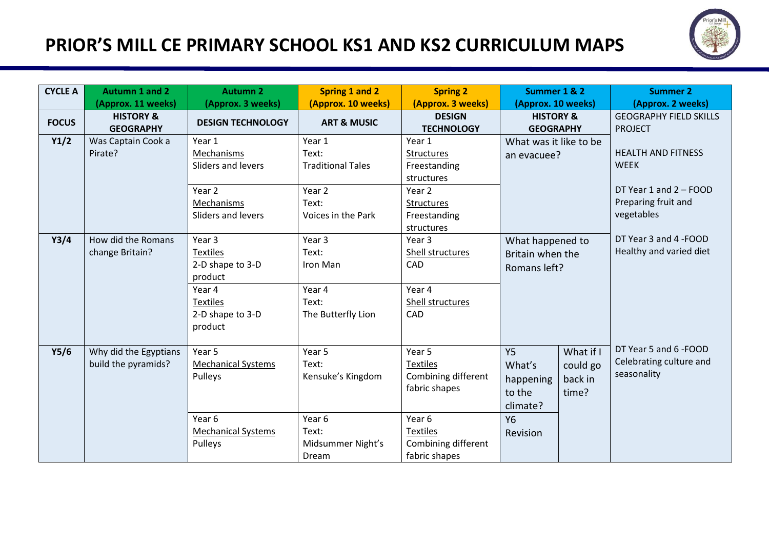## **PRIOR'S MILL CE PRIMARY SCHOOL KS1 AND KS2 CURRICULUM MAPS**



| <b>CYCLE A</b> | <b>Autumn 1 and 2</b><br>(Approx. 11 weeks)  | <b>Autumn 2</b><br>(Approx. 3 weeks)                                                                                 | <b>Spring 1 and 2</b><br>(Approx. 10 weeks)                                                     | <b>Spring 2</b><br>(Approx. 3 weeks)                                                                                                   | Summer 1 & 2<br>(Approx. 10 weeks)                                                                                           | <b>Summer 2</b><br>(Approx. 2 weeks)                                                                    |
|----------------|----------------------------------------------|----------------------------------------------------------------------------------------------------------------------|-------------------------------------------------------------------------------------------------|----------------------------------------------------------------------------------------------------------------------------------------|------------------------------------------------------------------------------------------------------------------------------|---------------------------------------------------------------------------------------------------------|
| <b>FOCUS</b>   | <b>HISTORY &amp;</b><br><b>GEOGRAPHY</b>     | <b>DESIGN TECHNOLOGY</b>                                                                                             | <b>ART &amp; MUSIC</b>                                                                          | <b>DESIGN</b><br><b>TECHNOLOGY</b>                                                                                                     | <b>HISTORY &amp;</b><br><b>GEOGRAPHY</b>                                                                                     | <b>GEOGRAPHY FIELD SKILLS</b><br><b>PROJECT</b>                                                         |
| Y1/2           | Was Captain Cook a<br>Pirate?                | Year 1<br>Mechanisms<br>Sliders and levers<br>Year 2<br>Mechanisms<br>Sliders and levers                             | Year 1<br>Text:<br><b>Traditional Tales</b><br>Year <sub>2</sub><br>Text:<br>Voices in the Park | Year 1<br><b>Structures</b><br>Freestanding<br>structures<br>Year 2<br><b>Structures</b><br>Freestanding<br>structures                 | What was it like to be<br>an evacuee?                                                                                        | <b>HEALTH AND FITNESS</b><br><b>WEEK</b><br>DT Year 1 and 2 - FOOD<br>Preparing fruit and<br>vegetables |
| Y3/4           | How did the Romans<br>change Britain?        | Year 3<br><b>Textiles</b><br>2-D shape to 3-D<br>product<br>Year 4<br><b>Textiles</b><br>2-D shape to 3-D<br>product | Year <sub>3</sub><br>Text:<br>Iron Man<br>Year 4<br>Text:<br>The Butterfly Lion                 | Year 3<br>Shell structures<br>CAD<br>Year 4<br>Shell structures<br>CAD                                                                 | What happened to<br>Britain when the<br>Romans left?                                                                         | DT Year 3 and 4 - FOOD<br>Healthy and varied diet                                                       |
| Y5/6           | Why did the Egyptians<br>build the pyramids? | Year 5<br><b>Mechanical Systems</b><br>Pulleys<br>Year 6<br><b>Mechanical Systems</b><br>Pulleys                     | Year 5<br>Text:<br>Kensuke's Kingdom<br>Year 6<br>Text:<br>Midsummer Night's<br>Dream           | Year 5<br><b>Textiles</b><br>Combining different<br>fabric shapes<br>Year 6<br><b>Textiles</b><br>Combining different<br>fabric shapes | <b>Y5</b><br>What if I<br>What's<br>could go<br>back in<br>happening<br>time?<br>to the<br>climate?<br><b>Y6</b><br>Revision | DT Year 5 and 6 - FOOD<br>Celebrating culture and<br>seasonality                                        |